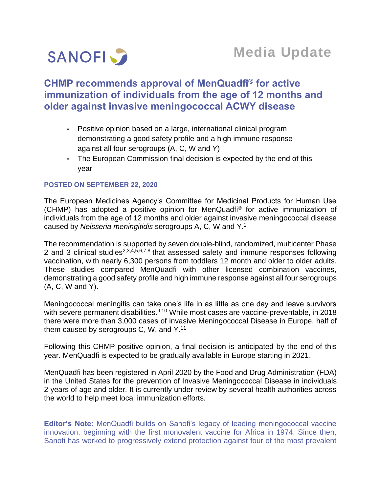

# **CHMP recommends approval of MenQuadfi® for active immunization of individuals from the age of 12 months and older against invasive meningococcal ACWY disease**

- Positive opinion based on a large, international clinical program demonstrating a good safety profile and a high immune response against all four serogroups (A, C, W and Y)
- The European Commission final decision is expected by the end of this year

## **POSTED ON SEPTEMBER 22, 2020**

The European Medicines Agency's Committee for Medicinal Products for Human Use (CHMP) has adopted a positive opinion for MenQuadfi® for active immunization of individuals from the age of 12 months and older against invasive meningococcal disease caused by *Neisseria meningitidis* serogroups A, C, W and Y. 1

The recommendation is supported by seven double-blind, randomized, multicenter Phase 2 and 3 clinical studies<sup>2,3,4,5,6,7,8</sup> that assessed safety and immune responses following vaccination, with nearly 6,300 persons from toddlers 12 month and older to older adults. These studies compared MenQuadfi with other licensed combination vaccines, demonstrating a good safety profile and high immune response against all four serogroups (A, C, W and Y).

Meningococcal meningitis can take one's life in as little as one day and leave survivors with severe permanent disabilities.<sup>9,10</sup> While most cases are vaccine-preventable, in 2018 there were more than 3,000 cases of invasive Meningococcal Disease in Europe, half of them caused by serogroups C, W, and  $Y$ .<sup>11</sup>

Following this CHMP positive opinion, a final decision is anticipated by the end of this year. MenQuadfi is expected to be gradually available in Europe starting in 2021.

MenQuadfi has been registered in April 2020 by the Food and Drug Administration (FDA) in the United States for the prevention of Invasive Meningococcal Disease in individuals 2 years of age and older. It is currently under review by several health authorities across the world to help meet local immunization efforts.

**Editor's Note:** MenQuadfi builds on Sanofi's legacy of leading meningococcal vaccine innovation, beginning with the first monovalent vaccine for Africa in 1974. Since then, Sanofi has worked to progressively extend protection against four of the most prevalent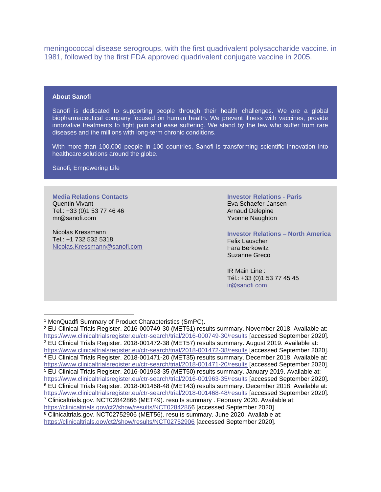meningococcal disease serogroups, with the first quadrivalent polysaccharide vaccine. in 1981, followed by the first FDA approved quadrivalent conjugate vaccine in 2005.

### **About Sanofi**

Sanofi is dedicated to supporting people through their health challenges. We are a global biopharmaceutical company focused on human health. We prevent illness with vaccines, provide innovative treatments to fight pain and ease suffering. We stand by the few who suffer from rare diseases and the millions with long-term chronic conditions.

With more than 100,000 people in 100 countries, Sanofi is transforming scientific innovation into healthcare solutions around the globe.

Sanofi, Empowering Life

## **Media Relations Contacts** Quentin Vivant

Tel.: +33 (0)1 53 77 46 46 mr@sanofi.com

Nicolas Kressmann Tel.: +1 732 532 5318 [Nicolas.Kressmann@sanofi.com](mailto:Nicolas.Kressmann@sanofi.com)

#### **Investor Relations - Paris** Eva Schaefer-Jansen

Arnaud Delepine Yvonne Naughton

**Investor Relations – North America** Felix Lauscher Fara Berkowitz Suzanne Greco

IR Main Line : Tél.: +33 (0)1 53 77 45 45 [ir@sanofi.com](mailto:ir@sanofi.com)

<sup>1</sup> MenQuadfi Summary of Product Characteristics (SmPC).

<sup>2</sup> EU Clinical Trials Register. 2016-000749-30 (MET51) results summary. November 2018. Available at: <https://www.clinicaltrialsregister.eu/ctr-search/trial/2016-000749-30/results> [accessed September 2020]. <sup>3</sup> EU Clinical Trials Register. 2018-001472-38 (MET57) results summary. August 2019. Available at: <https://www.clinicaltrialsregister.eu/ctr-search/trial/2018-001472-38/results> [accessed September 2020]. <sup>4</sup> EU Clinical Trials Register. 2018-001471-20 (MET35) results summary. December 2018. Available at: <https://www.clinicaltrialsregister.eu/ctr-search/trial/2018-001471-20/results> [accessed September 2020]. <sup>5</sup> EU Clinical Trials Register. 2016-001963-35 (MET50) results summary. January 2019. Available at: <https://www.clinicaltrialsregister.eu/ctr-search/trial/2016-001963-35/results> [accessed September 2020]. <sup>6</sup> EU Clinical Trials Register. 2018-001468-48 (MET43) results summary. December 2018. Available at: <https://www.clinicaltrialsregister.eu/ctr-search/trial/2018-001468-48/results> [accessed September 2020]. <sup>7</sup> Clinicaltrials.gov. NCT02842866 (MET49). results summary . February 2020. Available at: [https://clinicaltrials.gov/ct2/show/results/NCT02842866](https://clinicaltrials.gov/ct2/show/results/NCT0284286) [accessed September 2020]

<sup>8</sup> Clinicaltrials.gov. NCT02752906 (MET56). results summary. June 2020. Available at: <https://clinicaltrials.gov/ct2/show/results/NCT02752906> [accessed September 2020].